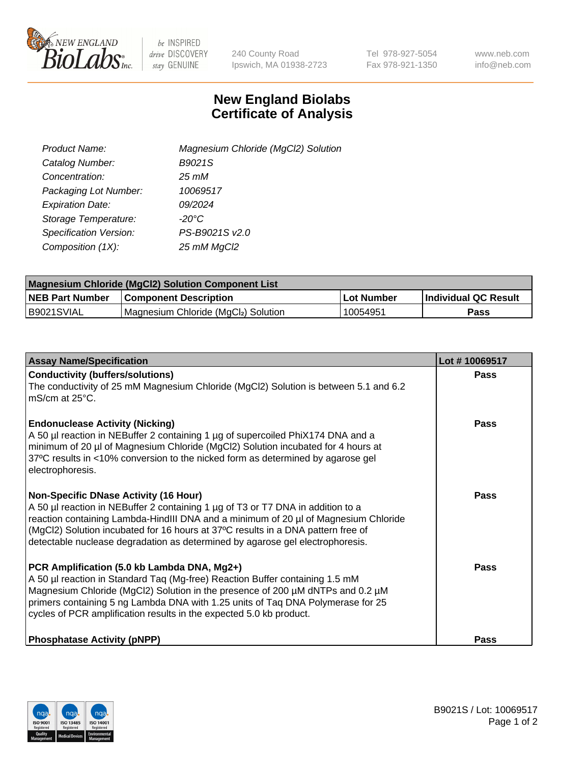

be INSPIRED drive DISCOVERY stay GENUINE

240 County Road Ipswich, MA 01938-2723 Tel 978-927-5054 Fax 978-921-1350 www.neb.com info@neb.com

## **New England Biolabs Certificate of Analysis**

| Product Name:           | Magnesium Chloride (MgCl2) Solution |
|-------------------------|-------------------------------------|
| Catalog Number:         | B9021S                              |
| Concentration:          | $25 \, \text{m}$ M                  |
| Packaging Lot Number:   | 10069517                            |
| <b>Expiration Date:</b> | 09/2024                             |
| Storage Temperature:    | $-20^{\circ}$ C                     |
| Specification Version:  | PS-B9021S v2.0                      |
| Composition (1X):       | 25 mM MgCl2                         |

| <b>Magnesium Chloride (MgCl2) Solution Component List</b> |                                     |            |                             |  |  |
|-----------------------------------------------------------|-------------------------------------|------------|-----------------------------|--|--|
| <b>NEB Part Number</b>                                    | <b>Component Description</b>        | Lot Number | <b>Individual QC Result</b> |  |  |
| B9021SVIAL                                                | Magnesium Chloride (MgCl2) Solution | 10054951   | Pass                        |  |  |

| <b>Assay Name/Specification</b>                                                                                                                                                                                                                                                                                                                                                             | Lot #10069517 |
|---------------------------------------------------------------------------------------------------------------------------------------------------------------------------------------------------------------------------------------------------------------------------------------------------------------------------------------------------------------------------------------------|---------------|
| <b>Conductivity (buffers/solutions)</b><br>The conductivity of 25 mM Magnesium Chloride (MgCl2) Solution is between 5.1 and 6.2<br>l mS/cm at 25°C.                                                                                                                                                                                                                                         | <b>Pass</b>   |
| <b>Endonuclease Activity (Nicking)</b><br>A 50 µl reaction in NEBuffer 2 containing 1 µg of supercoiled PhiX174 DNA and a<br>minimum of 20 µl of Magnesium Chloride (MgCl2) Solution incubated for 4 hours at<br>37°C results in <10% conversion to the nicked form as determined by agarose gel<br>electrophoresis.                                                                        | Pass          |
| <b>Non-Specific DNase Activity (16 Hour)</b><br>A 50 µl reaction in NEBuffer 2 containing 1 µg of T3 or T7 DNA in addition to a<br>reaction containing Lambda-HindIII DNA and a minimum of 20 µl of Magnesium Chloride<br>(MgCl2) Solution incubated for 16 hours at 37°C results in a DNA pattern free of<br>detectable nuclease degradation as determined by agarose gel electrophoresis. | Pass          |
| PCR Amplification (5.0 kb Lambda DNA, Mg2+)<br>A 50 µl reaction in Standard Taq (Mg-free) Reaction Buffer containing 1.5 mM<br>Magnesium Chloride (MgCl2) Solution in the presence of 200 µM dNTPs and 0.2 µM<br>primers containing 5 ng Lambda DNA with 1.25 units of Tag DNA Polymerase for 25<br>cycles of PCR amplification results in the expected 5.0 kb product.                     | Pass          |
| <b>Phosphatase Activity (pNPP)</b>                                                                                                                                                                                                                                                                                                                                                          | <b>Pass</b>   |